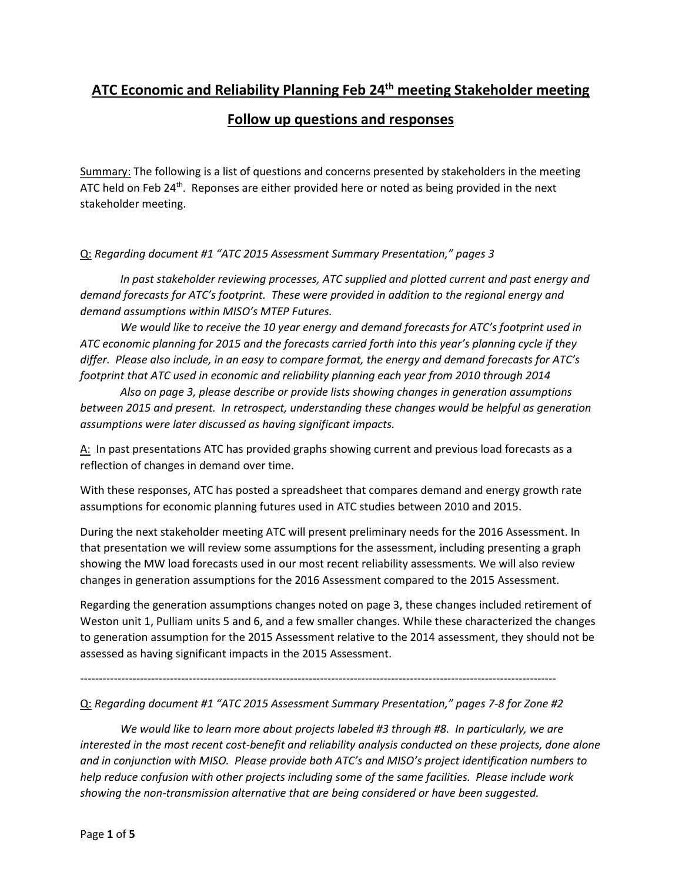## **ATC Economic and Reliability Planning Feb 24th meeting Stakeholder meeting**

## **Follow up questions and responses**

Summary: The following is a list of questions and concerns presented by stakeholders in the meeting ATC held on Feb  $24^{th}$ . Reponses are either provided here or noted as being provided in the next stakeholder meeting.

## Q: *Regarding document #1 "ATC 2015 Assessment Summary Presentation," pages 3*

*In past stakeholder reviewing processes, ATC supplied and plotted current and past energy and demand forecasts for ATC's footprint. These were provided in addition to the regional energy and demand assumptions within MISO's MTEP Futures.* 

*We would like to receive the 10 year energy and demand forecasts for ATC's footprint used in ATC economic planning for 2015 and the forecasts carried forth into this year's planning cycle if they differ. Please also include, in an easy to compare format, the energy and demand forecasts for ATC's footprint that ATC used in economic and reliability planning each year from 2010 through 2014* 

*Also on page 3, please describe or provide lists showing changes in generation assumptions between 2015 and present. In retrospect, understanding these changes would be helpful as generation assumptions were later discussed as having significant impacts.* 

A: In past presentations ATC has provided graphs showing current and previous load forecasts as a reflection of changes in demand over time.

With these responses, ATC has posted a spreadsheet that compares demand and energy growth rate assumptions for economic planning futures used in ATC studies between 2010 and 2015.

During the next stakeholder meeting ATC will present preliminary needs for the 2016 Assessment. In that presentation we will review some assumptions for the assessment, including presenting a graph showing the MW load forecasts used in our most recent reliability assessments. We will also review changes in generation assumptions for the 2016 Assessment compared to the 2015 Assessment.

Regarding the generation assumptions changes noted on page 3, these changes included retirement of Weston unit 1, Pulliam units 5 and 6, and a few smaller changes. While these characterized the changes to generation assumption for the 2015 Assessment relative to the 2014 assessment, they should not be assessed as having significant impacts in the 2015 Assessment.

-------------------------------------------------------------------------------------------------------------------------------

## Q: *Regarding document #1 "ATC 2015 Assessment Summary Presentation," pages 7-8 for Zone #2*

*We would like to learn more about projects labeled #3 through #8. In particularly, we are interested in the most recent cost-benefit and reliability analysis conducted on these projects, done alone and in conjunction with MISO. Please provide both ATC's and MISO's project identification numbers to help reduce confusion with other projects including some of the same facilities. Please include work showing the non-transmission alternative that are being considered or have been suggested.*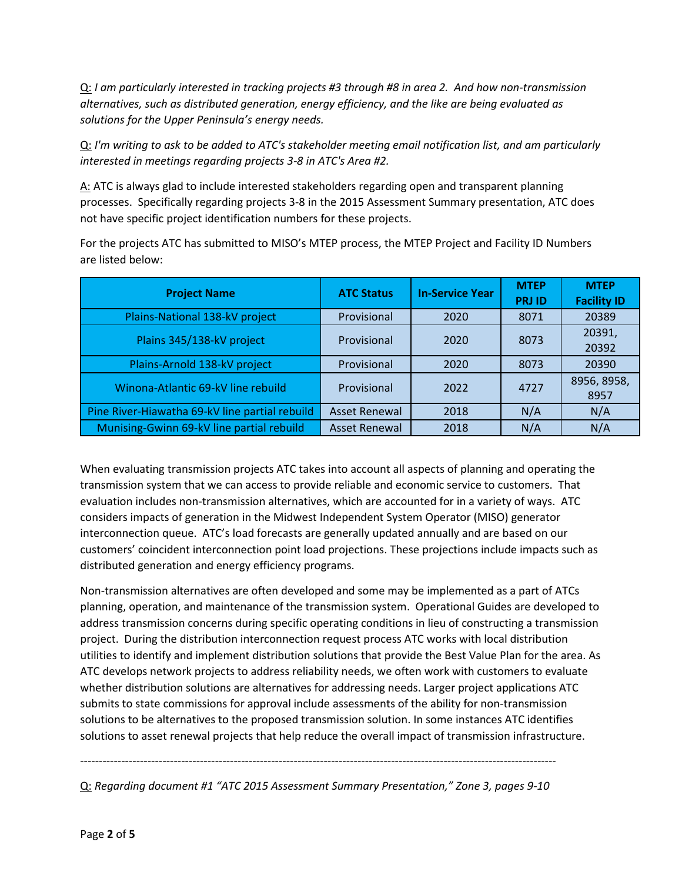Q: *I am particularly interested in tracking projects #3 through #8 in area 2. And how non-transmission alternatives, such as distributed generation, energy efficiency, and the like are being evaluated as solutions for the Upper Peninsula's energy needs.* 

Q: *I'm writing to ask to be added to ATC's stakeholder meeting email notification list, and am particularly interested in meetings regarding projects 3-8 in ATC's Area #2.* 

A: ATC is always glad to include interested stakeholders regarding open and transparent planning processes. Specifically regarding projects 3-8 in the 2015 Assessment Summary presentation, ATC does not have specific project identification numbers for these projects.

For the projects ATC has submitted to MISO's MTEP process, the MTEP Project and Facility ID Numbers are listed below:

| <b>Project Name</b>                            | <b>ATC Status</b>    | <b>In-Service Year</b> | <b>MTEP</b><br><b>PRJ ID</b> | <b>MTEP</b><br><b>Facility ID</b> |
|------------------------------------------------|----------------------|------------------------|------------------------------|-----------------------------------|
| Plains-National 138-kV project                 | Provisional          | 2020                   | 8071                         | 20389                             |
| Plains 345/138-kV project                      | Provisional          | 2020                   | 8073                         | 20391,<br>20392                   |
| Plains-Arnold 138-kV project                   | Provisional          | 2020                   | 8073                         | 20390                             |
| Winona-Atlantic 69-kV line rebuild             | Provisional          | 2022                   | 4727                         | 8956, 8958,<br>8957               |
| Pine River-Hiawatha 69-kV line partial rebuild | <b>Asset Renewal</b> | 2018                   | N/A                          | N/A                               |
| Munising-Gwinn 69-kV line partial rebuild      | <b>Asset Renewal</b> | 2018                   | N/A                          | N/A                               |

When evaluating transmission projects ATC takes into account all aspects of planning and operating the transmission system that we can access to provide reliable and economic service to customers. That evaluation includes non-transmission alternatives, which are accounted for in a variety of ways. ATC considers impacts of generation in the Midwest Independent System Operator (MISO) generator interconnection queue. ATC's load forecasts are generally updated annually and are based on our customers' coincident interconnection point load projections. These projections include impacts such as distributed generation and energy efficiency programs.

Non-transmission alternatives are often developed and some may be implemented as a part of ATCs planning, operation, and maintenance of the transmission system. Operational Guides are developed to address transmission concerns during specific operating conditions in lieu of constructing a transmission project. During the distribution interconnection request process ATC works with local distribution utilities to identify and implement distribution solutions that provide the Best Value Plan for the area. As ATC develops network projects to address reliability needs, we often work with customers to evaluate whether distribution solutions are alternatives for addressing needs. Larger project applications ATC submits to state commissions for approval include assessments of the ability for non-transmission solutions to be alternatives to the proposed transmission solution. In some instances ATC identifies solutions to asset renewal projects that help reduce the overall impact of transmission infrastructure.

------------------------------------------------------------------------------------------------------------------------------- Q: *Regarding document #1 "ATC 2015 Assessment Summary Presentation," Zone 3, pages 9-10*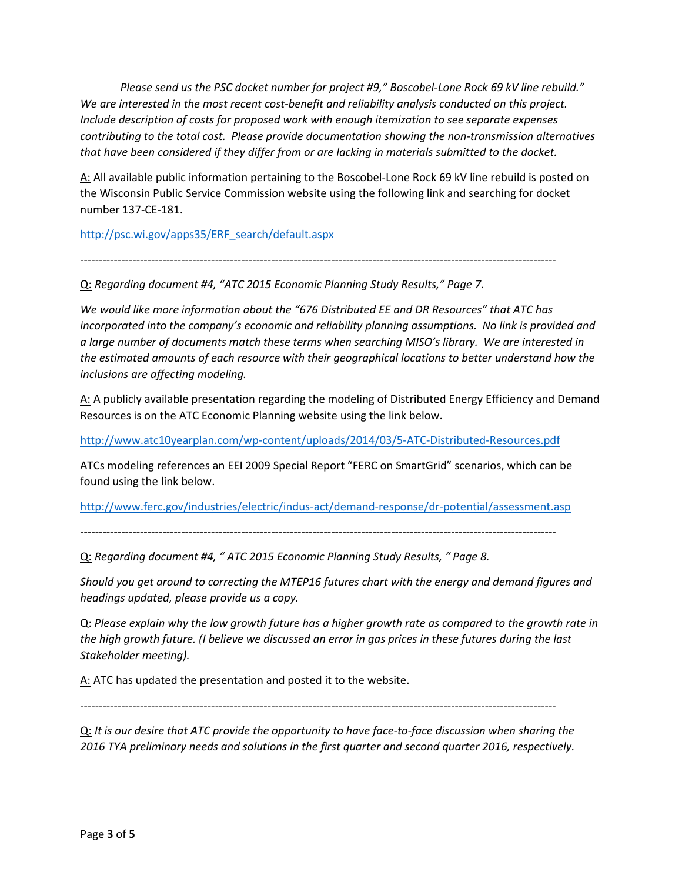*Please send us the PSC docket number for project #9," Boscobel-Lone Rock 69 kV line rebuild." We are interested in the most recent cost-benefit and reliability analysis conducted on this project. Include description of costs for proposed work with enough itemization to see separate expenses contributing to the total cost. Please provide documentation showing the non-transmission alternatives that have been considered if they differ from or are lacking in materials submitted to the docket.* 

A: All available public information pertaining to the Boscobel-Lone Rock 69 kV line rebuild is posted on the Wisconsin Public Service Commission website using the following link and searching for docket number 137-CE-181.

http://psc.wi.gov/apps35/ERF\_search/default.aspx

-------------------------------------------------------------------------------------------------------------------------------

Q: *Regarding document #4, "ATC 2015 Economic Planning Study Results," Page 7.* 

*We would like more information about the "676 Distributed EE and DR Resources" that ATC has incorporated into the company's economic and reliability planning assumptions. No link is provided and a large number of documents match these terms when searching MISO's library. We are interested in the estimated amounts of each resource with their geographical locations to better understand how the inclusions are affecting modeling.* 

A: A publicly available presentation regarding the modeling of Distributed Energy Efficiency and Demand Resources is on the ATC Economic Planning website using the link below.

http://www.atc10yearplan.com/wp-content/uploads/2014/03/5-ATC-Distributed-Resources.pdf

ATCs modeling references an EEI 2009 Special Report "FERC on SmartGrid" scenarios, which can be found using the link below.

http://www.ferc.gov/industries/electric/indus-act/demand-response/dr-potential/assessment.asp

-------------------------------------------------------------------------------------------------------------------------------

Q: *Regarding document #4, " ATC 2015 Economic Planning Study Results, " Page 8.* 

*Should you get around to correcting the MTEP16 futures chart with the energy and demand figures and headings updated, please provide us a copy.* 

Q: *Please explain why the low growth future has a higher growth rate as compared to the growth rate in the high growth future. (I believe we discussed an error in gas prices in these futures during the last Stakeholder meeting).* 

A: ATC has updated the presentation and posted it to the website.

-------------------------------------------------------------------------------------------------------------------------------

Q: *It is our desire that ATC provide the opportunity to have face-to-face discussion when sharing the 2016 TYA preliminary needs and solutions in the first quarter and second quarter 2016, respectively.*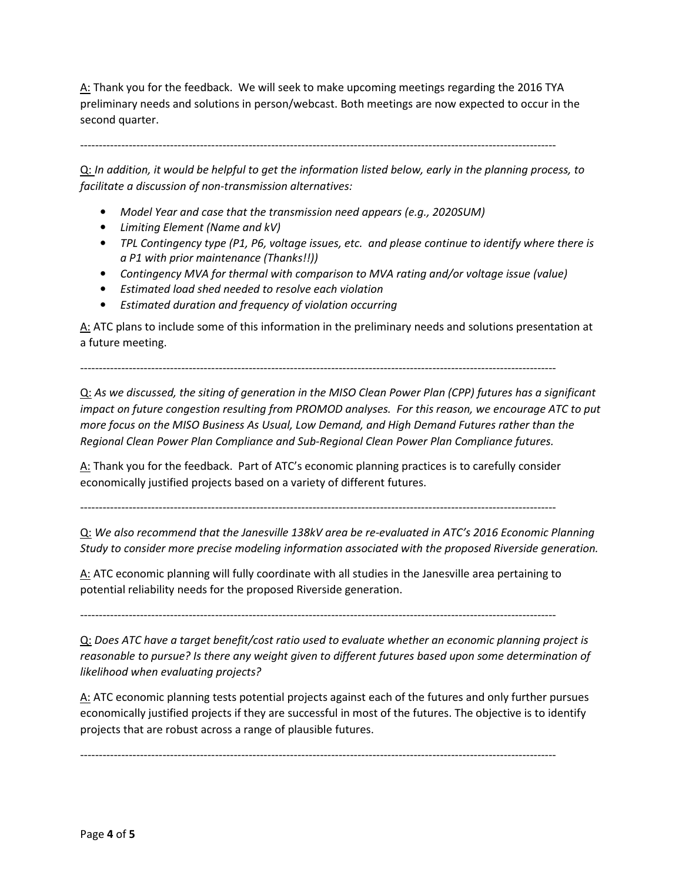A: Thank you for the feedback. We will seek to make upcoming meetings regarding the 2016 TYA preliminary needs and solutions in person/webcast. Both meetings are now expected to occur in the second quarter.

-------------------------------------------------------------------------------------------------------------------------------

Q: *In addition, it would be helpful to get the information listed below, early in the planning process, to facilitate a discussion of non-transmission alternatives:* 

- *Model Year and case that the transmission need appears (e.g., 2020SUM)*
- *Limiting Element (Name and kV)*
- *TPL Contingency type (P1, P6, voltage issues, etc. and please continue to identify where there is a P1 with prior maintenance (Thanks!!))*
- *Contingency MVA for thermal with comparison to MVA rating and/or voltage issue (value)*
- *Estimated load shed needed to resolve each violation*
- *Estimated duration and frequency of violation occurring*

A: ATC plans to include some of this information in the preliminary needs and solutions presentation at a future meeting.

-------------------------------------------------------------------------------------------------------------------------------

Q: *As we discussed, the siting of generation in the MISO Clean Power Plan (CPP) futures has a significant impact on future congestion resulting from PROMOD analyses. For this reason, we encourage ATC to put more focus on the MISO Business As Usual, Low Demand, and High Demand Futures rather than the Regional Clean Power Plan Compliance and Sub-Regional Clean Power Plan Compliance futures.* 

A: Thank you for the feedback. Part of ATC's economic planning practices is to carefully consider economically justified projects based on a variety of different futures.

-------------------------------------------------------------------------------------------------------------------------------

Q: *We also recommend that the Janesville 138kV area be re-evaluated in ATC's 2016 Economic Planning Study to consider more precise modeling information associated with the proposed Riverside generation.*

A: ATC economic planning will fully coordinate with all studies in the Janesville area pertaining to potential reliability needs for the proposed Riverside generation.

-------------------------------------------------------------------------------------------------------------------------------

Q: *Does ATC have a target benefit/cost ratio used to evaluate whether an economic planning project is reasonable to pursue? Is there any weight given to different futures based upon some determination of likelihood when evaluating projects?*

A: ATC economic planning tests potential projects against each of the futures and only further pursues economically justified projects if they are successful in most of the futures. The objective is to identify projects that are robust across a range of plausible futures.

-------------------------------------------------------------------------------------------------------------------------------